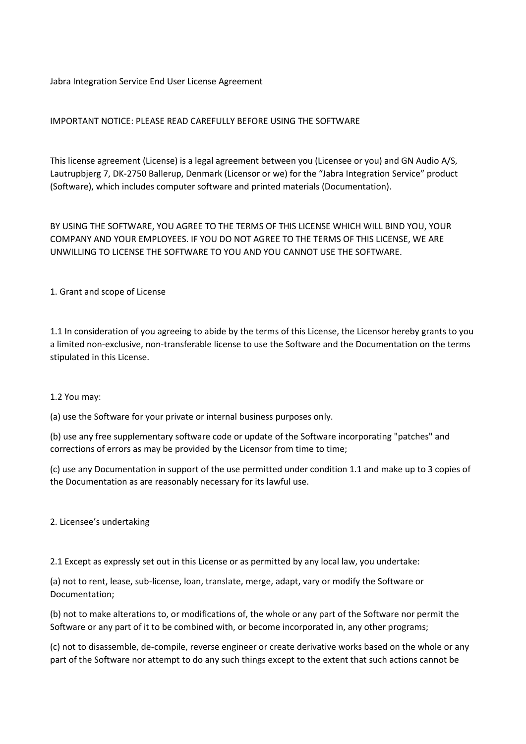Jabra Integration Service End User License Agreement

## IMPORTANT NOTICE: PLEASE READ CAREFULLY BEFORE USING THE SOFTWARE

This license agreement (License) is a legal agreement between you (Licensee or you) and GN Audio A/S, Lautrupbjerg 7, DK-2750 Ballerup, Denmark (Licensor or we) for the "Jabra Integration Service" product (Software), which includes computer software and printed materials (Documentation).

BY USING THE SOFTWARE, YOU AGREE TO THE TERMS OF THIS LICENSE WHICH WILL BIND YOU, YOUR COMPANY AND YOUR EMPLOYEES. IF YOU DO NOT AGREE TO THE TERMS OF THIS LICENSE, WE ARE UNWILLING TO LICENSE THE SOFTWARE TO YOU AND YOU CANNOT USE THE SOFTWARE.

1. Grant and scope of License

1.1 In consideration of you agreeing to abide by the terms of this License, the Licensor hereby grants to you a limited non-exclusive, non-transferable license to use the Software and the Documentation on the terms stipulated in this License.

#### 1.2 You may:

(a) use the Software for your private or internal business purposes only.

(b) use any free supplementary software code or update of the Software incorporating "patches" and corrections of errors as may be provided by the Licensor from time to time;

(c) use any Documentation in support of the use permitted under condition 1.1 and make up to 3 copies of the Documentation as are reasonably necessary for its lawful use.

2. Licensee's undertaking

2.1 Except as expressly set out in this License or as permitted by any local law, you undertake:

(a) not to rent, lease, sub-license, loan, translate, merge, adapt, vary or modify the Software or Documentation;

(b) not to make alterations to, or modifications of, the whole or any part of the Software nor permit the Software or any part of it to be combined with, or become incorporated in, any other programs;

(c) not to disassemble, de-compile, reverse engineer or create derivative works based on the whole or any part of the Software nor attempt to do any such things except to the extent that such actions cannot be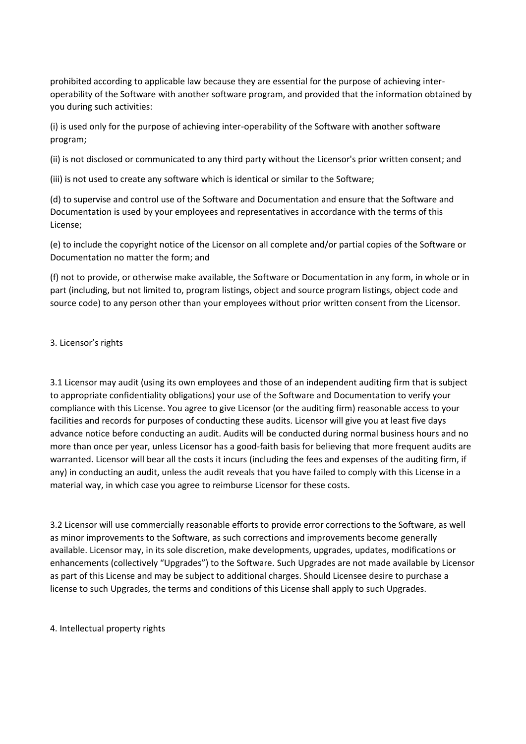prohibited according to applicable law because they are essential for the purpose of achieving interoperability of the Software with another software program, and provided that the information obtained by you during such activities:

(i) is used only for the purpose of achieving inter-operability of the Software with another software program;

(ii) is not disclosed or communicated to any third party without the Licensor's prior written consent; and

(iii) is not used to create any software which is identical or similar to the Software;

(d) to supervise and control use of the Software and Documentation and ensure that the Software and Documentation is used by your employees and representatives in accordance with the terms of this License;

(e) to include the copyright notice of the Licensor on all complete and/or partial copies of the Software or Documentation no matter the form; and

(f) not to provide, or otherwise make available, the Software or Documentation in any form, in whole or in part (including, but not limited to, program listings, object and source program listings, object code and source code) to any person other than your employees without prior written consent from the Licensor.

#### 3. Licensor's rights

3.1 Licensor may audit (using its own employees and those of an independent auditing firm that is subject to appropriate confidentiality obligations) your use of the Software and Documentation to verify your compliance with this License. You agree to give Licensor (or the auditing firm) reasonable access to your facilities and records for purposes of conducting these audits. Licensor will give you at least five days advance notice before conducting an audit. Audits will be conducted during normal business hours and no more than once per year, unless Licensor has a good-faith basis for believing that more frequent audits are warranted. Licensor will bear all the costs it incurs (including the fees and expenses of the auditing firm, if any) in conducting an audit, unless the audit reveals that you have failed to comply with this License in a material way, in which case you agree to reimburse Licensor for these costs.

3.2 Licensor will use commercially reasonable efforts to provide error corrections to the Software, as well as minor improvements to the Software, as such corrections and improvements become generally available. Licensor may, in its sole discretion, make developments, upgrades, updates, modifications or enhancements (collectively "Upgrades") to the Software. Such Upgrades are not made available by Licensor as part of this License and may be subject to additional charges. Should Licensee desire to purchase a license to such Upgrades, the terms and conditions of this License shall apply to such Upgrades.

4. Intellectual property rights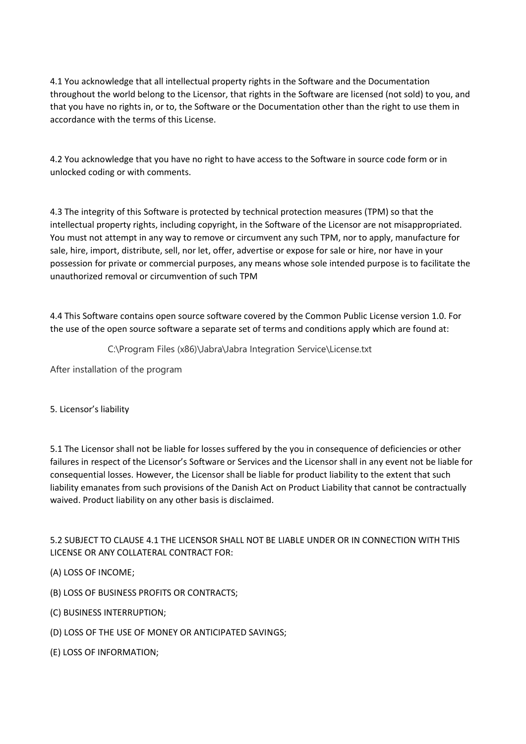4.1 You acknowledge that all intellectual property rights in the Software and the Documentation throughout the world belong to the Licensor, that rights in the Software are licensed (not sold) to you, and that you have no rights in, or to, the Software or the Documentation other than the right to use them in accordance with the terms of this License.

4.2 You acknowledge that you have no right to have access to the Software in source code form or in unlocked coding or with comments.

4.3 The integrity of this Software is protected by technical protection measures (TPM) so that the intellectual property rights, including copyright, in the Software of the Licensor are not misappropriated. You must not attempt in any way to remove or circumvent any such TPM, nor to apply, manufacture for sale, hire, import, distribute, sell, nor let, offer, advertise or expose for sale or hire, nor have in your possession for private or commercial purposes, any means whose sole intended purpose is to facilitate the unauthorized removal or circumvention of such TPM

4.4 This Software contains open source software covered by the Common Public License version 1.0. For the use of the open source software a separate set of terms and conditions apply which are found at:

C:\Program Files (x86)\Jabra\Jabra Integration Service\License.txt

After installation of the program

5. Licensor's liability

5.1 The Licensor shall not be liable for losses suffered by the you in consequence of deficiencies or other failures in respect of the Licensor's Software or Services and the Licensor shall in any event not be liable for consequential losses. However, the Licensor shall be liable for product liability to the extent that such liability emanates from such provisions of the Danish Act on Product Liability that cannot be contractually waived. Product liability on any other basis is disclaimed.

5.2 SUBJECT TO CLAUSE 4.1 THE LICENSOR SHALL NOT BE LIABLE UNDER OR IN CONNECTION WITH THIS LICENSE OR ANY COLLATERAL CONTRACT FOR:

(A) LOSS OF INCOME;

(B) LOSS OF BUSINESS PROFITS OR CONTRACTS;

(C) BUSINESS INTERRUPTION;

(D) LOSS OF THE USE OF MONEY OR ANTICIPATED SAVINGS;

(E) LOSS OF INFORMATION;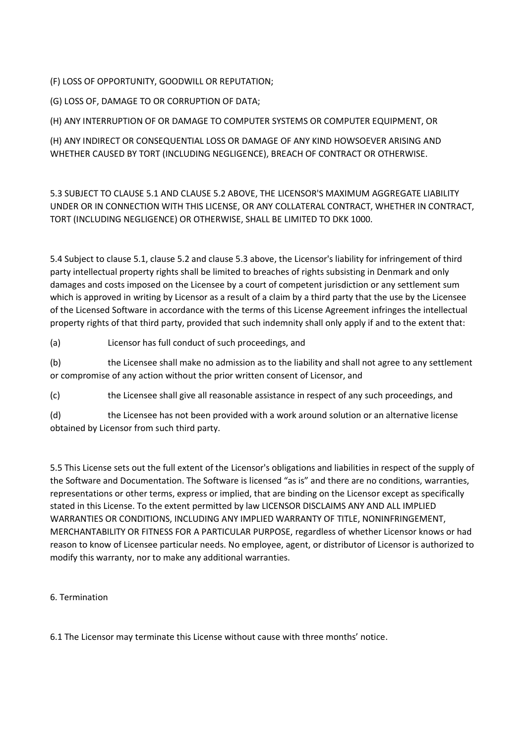(F) LOSS OF OPPORTUNITY, GOODWILL OR REPUTATION;

(G) LOSS OF, DAMAGE TO OR CORRUPTION OF DATA;

(H) ANY INTERRUPTION OF OR DAMAGE TO COMPUTER SYSTEMS OR COMPUTER EQUIPMENT, OR

(H) ANY INDIRECT OR CONSEQUENTIAL LOSS OR DAMAGE OF ANY KIND HOWSOEVER ARISING AND WHETHER CAUSED BY TORT (INCLUDING NEGLIGENCE), BREACH OF CONTRACT OR OTHERWISE.

5.3 SUBJECT TO CLAUSE 5.1 AND CLAUSE 5.2 ABOVE, THE LICENSOR'S MAXIMUM AGGREGATE LIABILITY UNDER OR IN CONNECTION WITH THIS LICENSE, OR ANY COLLATERAL CONTRACT, WHETHER IN CONTRACT, TORT (INCLUDING NEGLIGENCE) OR OTHERWISE, SHALL BE LIMITED TO DKK 1000.

5.4 Subject to clause 5.1, clause 5.2 and clause 5.3 above, the Licensor's liability for infringement of third party intellectual property rights shall be limited to breaches of rights subsisting in Denmark and only damages and costs imposed on the Licensee by a court of competent jurisdiction or any settlement sum which is approved in writing by Licensor as a result of a claim by a third party that the use by the Licensee of the Licensed Software in accordance with the terms of this License Agreement infringes the intellectual property rights of that third party, provided that such indemnity shall only apply if and to the extent that:

(a) Licensor has full conduct of such proceedings, and

(b) the Licensee shall make no admission as to the liability and shall not agree to any settlement or compromise of any action without the prior written consent of Licensor, and

(c) the Licensee shall give all reasonable assistance in respect of any such proceedings, and

(d) the Licensee has not been provided with a work around solution or an alternative license obtained by Licensor from such third party.

5.5 This License sets out the full extent of the Licensor's obligations and liabilities in respect of the supply of the Software and Documentation. The Software is licensed "as is" and there are no conditions, warranties, representations or other terms, express or implied, that are binding on the Licensor except as specifically stated in this License. To the extent permitted by law LICENSOR DISCLAIMS ANY AND ALL IMPLIED WARRANTIES OR CONDITIONS, INCLUDING ANY IMPLIED WARRANTY OF TITLE, NONINFRINGEMENT, MERCHANTABILITY OR FITNESS FOR A PARTICULAR PURPOSE, regardless of whether Licensor knows or had reason to know of Licensee particular needs. No employee, agent, or distributor of Licensor is authorized to modify this warranty, nor to make any additional warranties.

# 6. Termination

6.1 The Licensor may terminate this License without cause with three months' notice.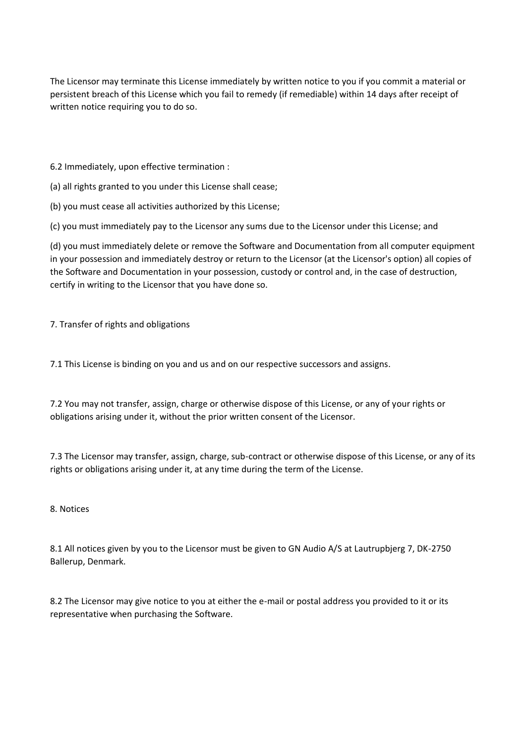The Licensor may terminate this License immediately by written notice to you if you commit a material or persistent breach of this License which you fail to remedy (if remediable) within 14 days after receipt of written notice requiring you to do so.

6.2 Immediately, upon effective termination :

(a) all rights granted to you under this License shall cease;

(b) you must cease all activities authorized by this License;

(c) you must immediately pay to the Licensor any sums due to the Licensor under this License; and

(d) you must immediately delete or remove the Software and Documentation from all computer equipment in your possession and immediately destroy or return to the Licensor (at the Licensor's option) all copies of the Software and Documentation in your possession, custody or control and, in the case of destruction, certify in writing to the Licensor that you have done so.

7. Transfer of rights and obligations

7.1 This License is binding on you and us and on our respective successors and assigns.

7.2 You may not transfer, assign, charge or otherwise dispose of this License, or any of your rights or obligations arising under it, without the prior written consent of the Licensor.

7.3 The Licensor may transfer, assign, charge, sub-contract or otherwise dispose of this License, or any of its rights or obligations arising under it, at any time during the term of the License.

#### 8. Notices

8.1 All notices given by you to the Licensor must be given to GN Audio A/S at Lautrupbjerg 7, DK-2750 Ballerup, Denmark.

8.2 The Licensor may give notice to you at either the e-mail or postal address you provided to it or its representative when purchasing the Software.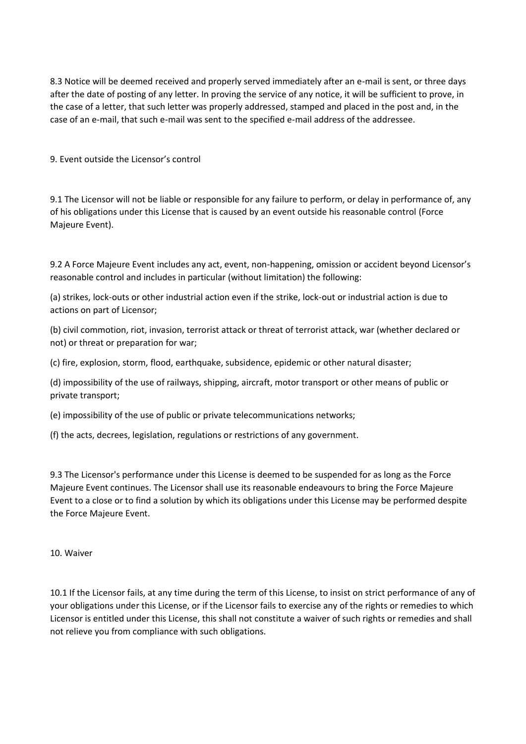8.3 Notice will be deemed received and properly served immediately after an e-mail is sent, or three days after the date of posting of any letter. In proving the service of any notice, it will be sufficient to prove, in the case of a letter, that such letter was properly addressed, stamped and placed in the post and, in the case of an e-mail, that such e-mail was sent to the specified e-mail address of the addressee.

9. Event outside the Licensor's control

9.1 The Licensor will not be liable or responsible for any failure to perform, or delay in performance of, any of his obligations under this License that is caused by an event outside his reasonable control (Force Majeure Event).

9.2 A Force Majeure Event includes any act, event, non-happening, omission or accident beyond Licensor's reasonable control and includes in particular (without limitation) the following:

(a) strikes, lock-outs or other industrial action even if the strike, lock-out or industrial action is due to actions on part of Licensor;

(b) civil commotion, riot, invasion, terrorist attack or threat of terrorist attack, war (whether declared or not) or threat or preparation for war;

(c) fire, explosion, storm, flood, earthquake, subsidence, epidemic or other natural disaster;

(d) impossibility of the use of railways, shipping, aircraft, motor transport or other means of public or private transport;

(e) impossibility of the use of public or private telecommunications networks;

(f) the acts, decrees, legislation, regulations or restrictions of any government.

9.3 The Licensor's performance under this License is deemed to be suspended for as long as the Force Majeure Event continues. The Licensor shall use its reasonable endeavours to bring the Force Majeure Event to a close or to find a solution by which its obligations under this License may be performed despite the Force Majeure Event.

10. Waiver

10.1 If the Licensor fails, at any time during the term of this License, to insist on strict performance of any of your obligations under this License, or if the Licensor fails to exercise any of the rights or remedies to which Licensor is entitled under this License, this shall not constitute a waiver of such rights or remedies and shall not relieve you from compliance with such obligations.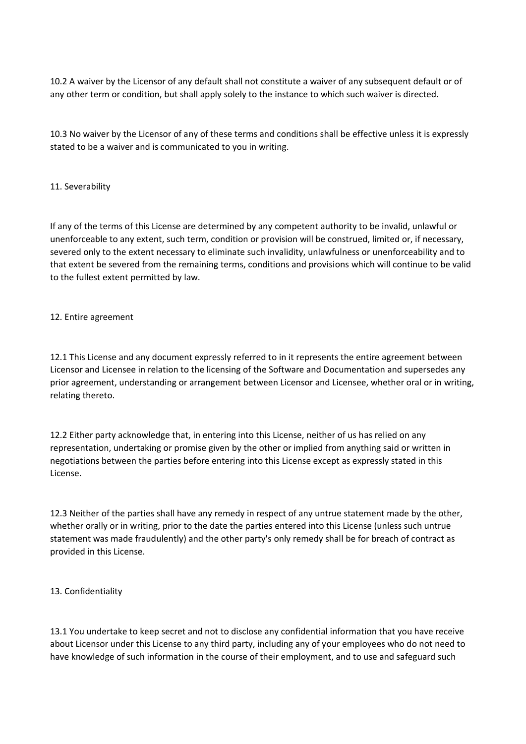10.2 A waiver by the Licensor of any default shall not constitute a waiver of any subsequent default or of any other term or condition, but shall apply solely to the instance to which such waiver is directed.

10.3 No waiver by the Licensor of any of these terms and conditions shall be effective unless it is expressly stated to be a waiver and is communicated to you in writing.

### 11. Severability

If any of the terms of this License are determined by any competent authority to be invalid, unlawful or unenforceable to any extent, such term, condition or provision will be construed, limited or, if necessary, severed only to the extent necessary to eliminate such invalidity, unlawfulness or unenforceability and to that extent be severed from the remaining terms, conditions and provisions which will continue to be valid to the fullest extent permitted by law.

### 12. Entire agreement

12.1 This License and any document expressly referred to in it represents the entire agreement between Licensor and Licensee in relation to the licensing of the Software and Documentation and supersedes any prior agreement, understanding or arrangement between Licensor and Licensee, whether oral or in writing, relating thereto.

12.2 Either party acknowledge that, in entering into this License, neither of us has relied on any representation, undertaking or promise given by the other or implied from anything said or written in negotiations between the parties before entering into this License except as expressly stated in this License.

12.3 Neither of the parties shall have any remedy in respect of any untrue statement made by the other, whether orally or in writing, prior to the date the parties entered into this License (unless such untrue statement was made fraudulently) and the other party's only remedy shall be for breach of contract as provided in this License.

# 13. Confidentiality

13.1 You undertake to keep secret and not to disclose any confidential information that you have receive about Licensor under this License to any third party, including any of your employees who do not need to have knowledge of such information in the course of their employment, and to use and safeguard such